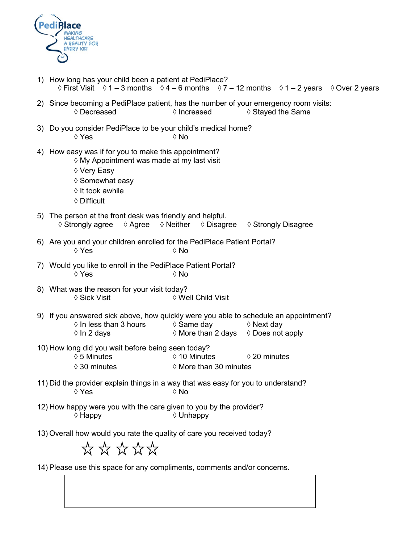

| 1) How long has your child been a patient at PediPlace?<br>◊ First Visit ◊ 1 – 3 months ◊ 4 – 6 months ◊ 7 – 12 months ◊ 1 – 2 years ◊ Over 2 years                                                                                                    |  |  |  |  |
|--------------------------------------------------------------------------------------------------------------------------------------------------------------------------------------------------------------------------------------------------------|--|--|--|--|
| 2) Since becoming a PediPlace patient, has the number of your emergency room visits:<br>$\Diamond$ Increased<br>♦ Stayed the Same<br>◊ Decreased                                                                                                       |  |  |  |  |
| 3) Do you consider PediPlace to be your child's medical home?<br>$\Diamond$ No<br>$\Diamond$ Yes                                                                                                                                                       |  |  |  |  |
| 4) How easy was if for you to make this appointment?<br>◊ My Appointment was made at my last visit<br>♦ Very Easy<br>♦ Somewhat easy<br>$\Diamond$ It took awhile<br>$\Diamond$ Difficult                                                              |  |  |  |  |
| 5) The person at the front desk was friendly and helpful.<br>$\Diamond$ Neither $\Diamond$ Disagree<br>$\Diamond$ Strongly agree<br>◊ Agree<br>♦ Strongly Disagree                                                                                     |  |  |  |  |
| 6) Are you and your children enrolled for the PediPlace Patient Portal?<br>♦ Yes<br>$\Diamond$ No                                                                                                                                                      |  |  |  |  |
| 7) Would you like to enroll in the PediPlace Patient Portal?<br>$\Diamond$ Yes<br>$\Diamond$ No                                                                                                                                                        |  |  |  |  |
| 8) What was the reason for your visit today?<br>♦ Sick Visit<br>♦ Well Child Visit                                                                                                                                                                     |  |  |  |  |
| 9) If you answered sick above, how quickly were you able to schedule an appointment?<br>$\Diamond$ In less than 3 hours<br>$\Diamond$ Same day<br>$\Diamond$ Next day<br>$\Diamond$ More than 2 days $\Diamond$ Does not apply<br>$\Diamond$ In 2 days |  |  |  |  |
| 10) How long did you wait before being seen today?<br>$\lozenge$ 5 Minutes<br>$\Diamond$ 10 Minutes<br>$\Diamond$ 20 minutes<br>$\Diamond$ More than 30 minutes<br>$\Diamond$ 30 minutes                                                               |  |  |  |  |
| 11) Did the provider explain things in a way that was easy for you to understand?<br>◊ Yes<br>$\Diamond$ No                                                                                                                                            |  |  |  |  |
| 12) How happy were you with the care given to you by the provider?<br>$\diamond$ Happy<br>$\Diamond$ Unhappy                                                                                                                                           |  |  |  |  |
| 13) Overall how would you rate the quality of care you received today?<br>******                                                                                                                                                                       |  |  |  |  |

14) Please use this space for any compliments, comments and/or concerns.